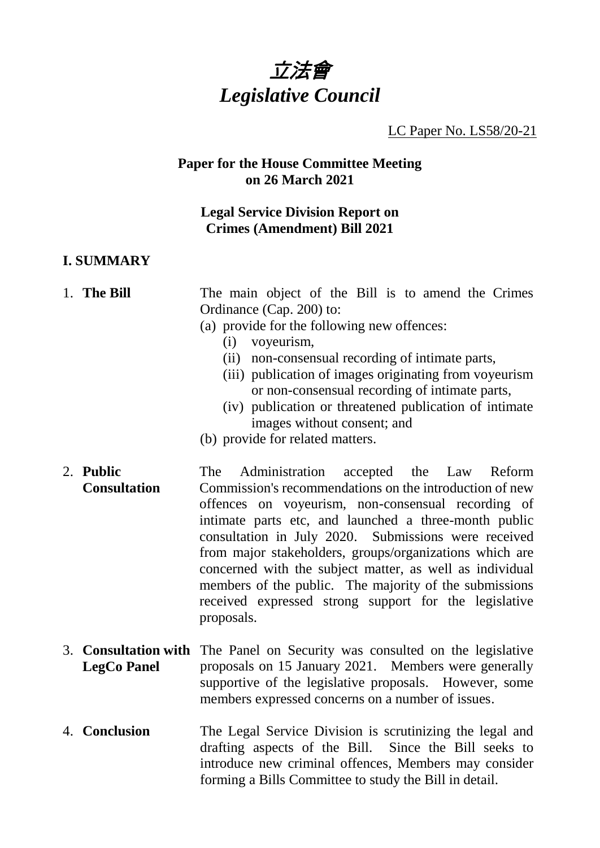

LC Paper No. LS58/20-21

#### **Paper for the House Committee Meeting on 26 March 2021**

## **Legal Service Division Report on Crimes (Amendment) Bill 2021**

### **I. SUMMARY**

## 1. **The Bill** The main object of the Bill is to amend the Crimes Ordinance (Cap. 200) to:

- (a) provide for the following new offences:
	- (i) voyeurism,
	- (ii) non-consensual recording of intimate parts,
	- (iii) publication of images originating from voyeurism or non-consensual recording of intimate parts,
	- (iv) publication or threatened publication of intimate images without consent; and
- (b) provide for related matters.
- 2. **Public Consultation** The Administration accepted the Law Reform Commission's recommendations on the introduction of new offences on voyeurism, non-consensual recording of intimate parts etc, and launched a three-month public consultation in July 2020. Submissions were received from major stakeholders, groups/organizations which are concerned with the subject matter, as well as individual members of the public. The majority of the submissions received expressed strong support for the legislative proposals.
- 3. **Consultation with** The Panel on Security was consulted on the legislative **LegCo Panel** proposals on 15 January 2021. Members were generally supportive of the legislative proposals. However, some members expressed concerns on a number of issues.
- 4. **Conclusion** The Legal Service Division is scrutinizing the legal and drafting aspects of the Bill. Since the Bill seeks to introduce new criminal offences, Members may consider forming a Bills Committee to study the Bill in detail.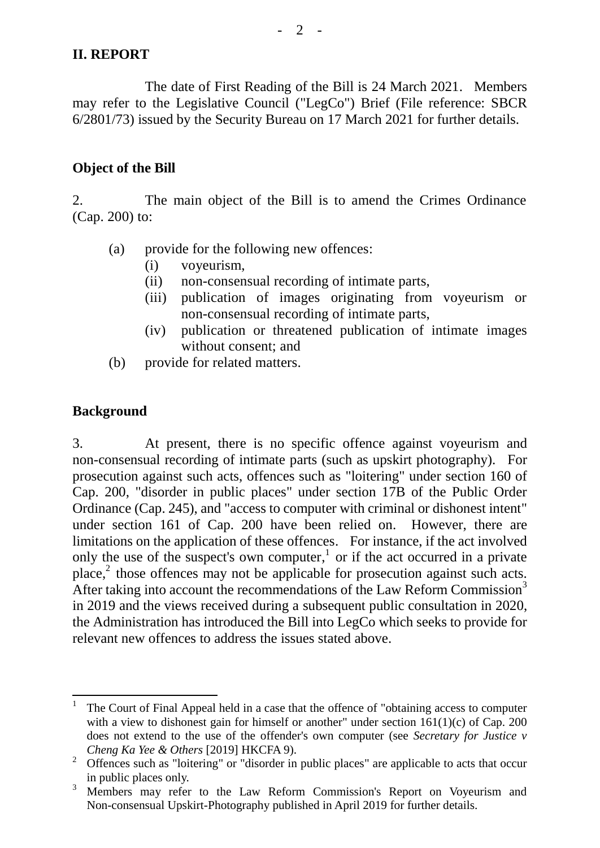# **II. REPORT**

The date of First Reading of the Bill is 24 March 2021. Members may refer to the Legislative Council ("LegCo") Brief (File reference: SBCR 6/2801/73) issued by the Security Bureau on 17 March 2021 for further details.

#### **Object of the Bill**

2. The main object of the Bill is to amend the Crimes Ordinance (Cap. 200) to:

- (a) provide for the following new offences:
	- (i) voyeurism,
	- (ii) non-consensual recording of intimate parts,
	- (iii) publication of images originating from voyeurism or non-consensual recording of intimate parts,
	- (iv) publication or threatened publication of intimate images without consent; and
- (b) provide for related matters.

## **Background**

3. At present, there is no specific offence against voyeurism and non-consensual recording of intimate parts (such as upskirt photography). For prosecution against such acts, offences such as "loitering" under section 160 of Cap. 200, "disorder in public places" under section 17B of the Public Order Ordinance (Cap. 245), and "access to computer with criminal or dishonest intent" under section 161 of Cap. 200 have been relied on. However, there are limitations on the application of these offences. For instance, if the act involved only the use of the suspect's own computer,<sup>1</sup> or if the act occurred in a private place, 2 those offences may not be applicable for prosecution against such acts. After taking into account the recommendations of the Law Reform Commission<sup>3</sup> in 2019 and the views received during a subsequent public consultation in 2020, the Administration has introduced the Bill into LegCo which seeks to provide for relevant new offences to address the issues stated above.

<sup>1</sup> 1 The Court of Final Appeal held in a case that the offence of "obtaining access to computer with a view to dishonest gain for himself or another" under section  $161(1)(c)$  of Cap. 200 does not extend to the use of the offender's own computer (see *Secretary for Justice v Cheng Ka Yee & Others* [2019] HKCFA 9).

<sup>&</sup>lt;sup>2</sup> Offences such as "loitering" or "disorder in public places" are applicable to acts that occur in public places only.

<sup>&</sup>lt;sup>3</sup> Members may refer to the Law Reform Commission's Report on Voyeurism and Non-consensual Upskirt-Photography published in April 2019 for further details.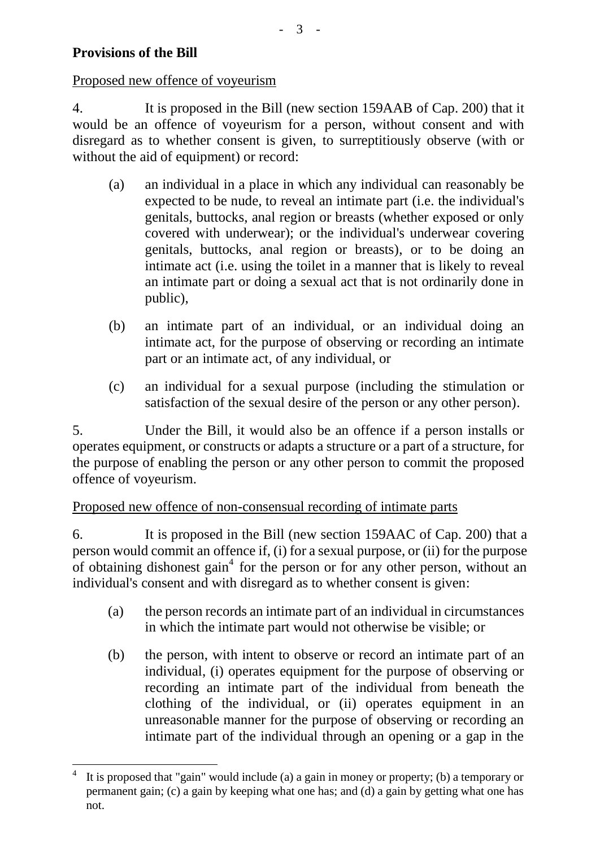# **Provisions of the Bill**

1

Proposed new offence of voyeurism

4. It is proposed in the Bill (new section 159AAB of Cap. 200) that it would be an offence of voyeurism for a person, without consent and with disregard as to whether consent is given, to surreptitiously observe (with or without the aid of equipment) or record:

- (a) an individual in a place in which any individual can reasonably be expected to be nude, to reveal an intimate part (i.e. the individual's genitals, buttocks, anal region or breasts (whether exposed or only covered with underwear); or the individual's underwear covering genitals, buttocks, anal region or breasts), or to be doing an intimate act (i.e. using the toilet in a manner that is likely to reveal an intimate part or doing a sexual act that is not ordinarily done in public),
- (b) an intimate part of an individual, or an individual doing an intimate act, for the purpose of observing or recording an intimate part or an intimate act, of any individual, or
- (c) an individual for a sexual purpose (including the stimulation or satisfaction of the sexual desire of the person or any other person).

5. Under the Bill, it would also be an offence if a person installs or operates equipment, or constructs or adapts a structure or a part of a structure, for the purpose of enabling the person or any other person to commit the proposed offence of voyeurism.

#### Proposed new offence of non-consensual recording of intimate parts

6. It is proposed in the Bill (new section 159AAC of Cap. 200) that a person would commit an offence if, (i) for a sexual purpose, or (ii) for the purpose of obtaining dishonest gain<sup>4</sup> for the person or for any other person, without an individual's consent and with disregard as to whether consent is given:

- (a) the person records an intimate part of an individual in circumstances in which the intimate part would not otherwise be visible; or
- (b) the person, with intent to observe or record an intimate part of an individual, (i) operates equipment for the purpose of observing or recording an intimate part of the individual from beneath the clothing of the individual, or (ii) operates equipment in an unreasonable manner for the purpose of observing or recording an intimate part of the individual through an opening or a gap in the

<sup>4</sup> It is proposed that "gain" would include (a) a gain in money or property; (b) a temporary or permanent gain; (c) a gain by keeping what one has; and (d) a gain by getting what one has not.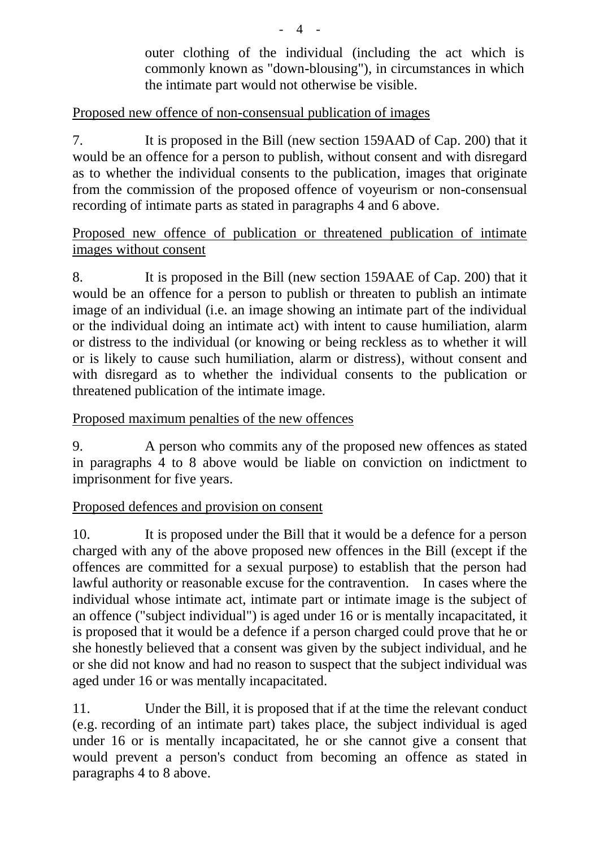outer clothing of the individual (including the act which is commonly known as "down-blousing"), in circumstances in which the intimate part would not otherwise be visible.

# Proposed new offence of non-consensual publication of images

7. It is proposed in the Bill (new section 159AAD of Cap. 200) that it would be an offence for a person to publish, without consent and with disregard as to whether the individual consents to the publication, images that originate from the commission of the proposed offence of voyeurism or non-consensual recording of intimate parts as stated in paragraphs 4 and 6 above.

## Proposed new offence of publication or threatened publication of intimate images without consent

8. It is proposed in the Bill (new section 159AAE of Cap. 200) that it would be an offence for a person to publish or threaten to publish an intimate image of an individual (i.e. an image showing an intimate part of the individual or the individual doing an intimate act) with intent to cause humiliation, alarm or distress to the individual (or knowing or being reckless as to whether it will or is likely to cause such humiliation, alarm or distress), without consent and with disregard as to whether the individual consents to the publication or threatened publication of the intimate image.

# Proposed maximum penalties of the new offences

9. A person who commits any of the proposed new offences as stated in paragraphs 4 to 8 above would be liable on conviction on indictment to imprisonment for five years.

## Proposed defences and provision on consent

10. It is proposed under the Bill that it would be a defence for a person charged with any of the above proposed new offences in the Bill (except if the offences are committed for a sexual purpose) to establish that the person had lawful authority or reasonable excuse for the contravention. In cases where the individual whose intimate act, intimate part or intimate image is the subject of an offence ("subject individual") is aged under 16 or is mentally incapacitated, it is proposed that it would be a defence if a person charged could prove that he or she honestly believed that a consent was given by the subject individual, and he or she did not know and had no reason to suspect that the subject individual was aged under 16 or was mentally incapacitated.

11. Under the Bill, it is proposed that if at the time the relevant conduct (e.g. recording of an intimate part) takes place, the subject individual is aged under 16 or is mentally incapacitated, he or she cannot give a consent that would prevent a person's conduct from becoming an offence as stated in paragraphs 4 to 8 above.